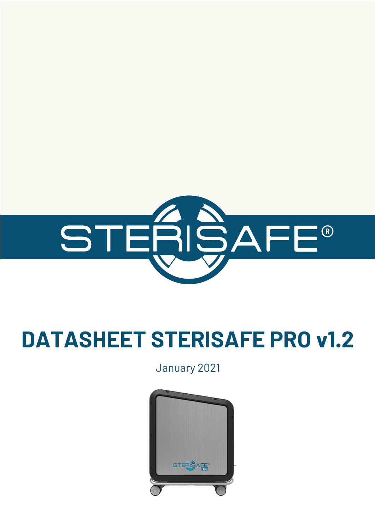

# **DATASHEET STERISAFE PRO v1.2**

January 2021

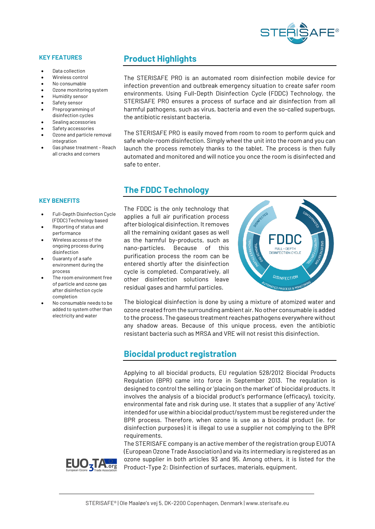

#### **KEY FEATURES**

- Data collection
- Wireless control
- No consumable
- Ozone monitoring system
- Humidity sensor
- Safety sensor
- Preprogramming of disinfection cycles
- Sealing accessories
- Safety accessories
- Ozone and particle removal integration
- Gas phase treatment Reach all cracks and corners

## **Product Highlights**

The STERISAFE PRO is an automated room disinfection mobile device for infection prevention and outbreak emergency situation to create safer room environments. Using Full-Depth Disinfection Cycle (FDDC) Technology, the STERISAFE PRO ensures a process of surface and air disinfection from all harmful pathogens, such as virus, bacteria and even the so-called superbugs, the antibiotic resistant bacteria.

The STERISAFE PRO is easily moved from room to room to perform quick and safe whole-room disinfection. Simply wheel the unit into the room and you can launch the process remotely thanks to the tablet. The process is then fully automated and monitored and will notice you once the room is disinfected and safe to enter.

## **The FDDC Technology**

The FDDC is the only technology that applies a full air purification process after biological disinfection. It removes all the remaining oxidant gases as well as the harmful by-products, such as nano-particles. Because of this purification process the room can be entered shortly after the disinfection cycle is completed. Comparatively, all other disinfection solutions leave residual gases and harmful particles.



The biological disinfection is done by using a mixture of atomized water and ozone created from the surrounding ambient air.No other consumable is added to the process. The gaseous treatment reaches pathogens everywhere without any shadow areas. Because of this unique process, even the antibiotic resistant bacteria such as MRSA and VRE will not resist this disinfection.

### **Biocidal product registration**

Applying to all biocidal products, EU regulation 528/2012 Biocidal Products Regulation (BPR) came into force in September 2013. The regulation is designed to control the selling or 'placing on the market' of biocidal products. It involves the analysis of a biocidal product's performance (efficacy), toxicity, environmental fate and risk during use. It states that a supplier of any 'Active' intended for use within a biocidal product/system must be registered under the BPR process. Therefore, when ozone is use as a biocidal product (ie. for disinfection purposes) it is illegal to use a supplier not complying to the BPR requirements.

The STERISAFE company is an active member of the registration group EUOTA (European Ozone Trade Association) and via its intermediary is registered as an ozone supplier in both articles 93 and 95. Among others, it is listed for the Product-Type 2: Disinfection of surfaces, materials, equipment.



#### **KEY BENEFITS**

- Full-Depth Disinfection Cycle (FDDC) Technology based
- Reporting of status and performance
- Wireless access of the ongoing process during disinfection
- Guaranty of a safe environment during the process
- The room environment free of particle and ozone gas after disinfection cycle completion
- No consumable needs to be added to system other than electricity and water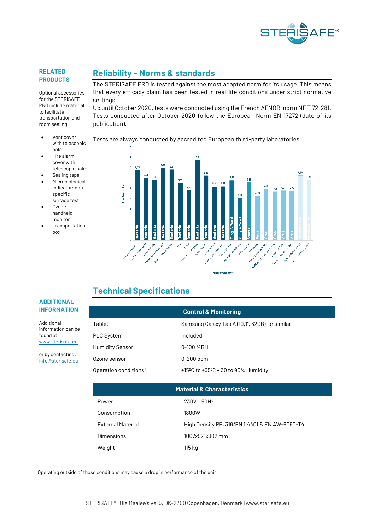

#### **RELATED PRODUCTS**

Optional accessories for the STERISAFE PRO include material to facilitate transportation and room sealing.

- Vent cover with telescopic pole
- Fire alarm cover with telescopic pole
- Sealing tape
- **Microbiological** indicator: nonspecific surface test
- Ozone handheld monitor
- **Transportation** box

**Reliability – Norms & standards**

The STERISAFE PRO is tested against the most adapted norm for its usage. This means that every efficacy claim has been tested in real-life conditions under strict normative settings.

Up until October 2020, tests were conducted using the French AFNOR-norm NF T 72-281. Tests conducted after October 2020 follow the European Norm EN 17272 (date of its publication).

#### Tests are always conducted by accredited European third-party laboratories.



## **Technical Specifications**

#### **ADDITIONAL INFORMATION**

Additional information can be found at: [www.sterisafe.eu](http://www.sterisafe.eu/)

or by contacting: [info@sterisafe.eu](mailto:info@sterisafe.eu)

|                                   | <b>Control &amp; Monitoring</b>                               |
|-----------------------------------|---------------------------------------------------------------|
| Tablet                            | Samsung Galaxy Tab A (10,1", 32GB), or similar                |
| PLC System                        | Included                                                      |
| <b>Humidity Sensor</b>            | $0-100$ %RH                                                   |
| Ozone sensor                      | $0-200$ ppm                                                   |
| Operation conditions <sup>1</sup> | +15 <sup>o</sup> C to +35 <sup>o</sup> C - 30 to 90% Humidity |

| <b>Material &amp; Characteristics</b> |                                                |  |
|---------------------------------------|------------------------------------------------|--|
| Power                                 | $230V - 50Hz$                                  |  |
| Consumption                           | 1800W                                          |  |
| <b>External Material</b>              | High Density PE, 316/EN 1.4401 & EN AW-6060-T4 |  |
| Dimensions                            | 1007x521x802 mm                                |  |
| Weight                                | 115 kg                                         |  |

<span id="page-2-0"></span> $10$  perating outside of those conditions may cause a drop in performance of the unit